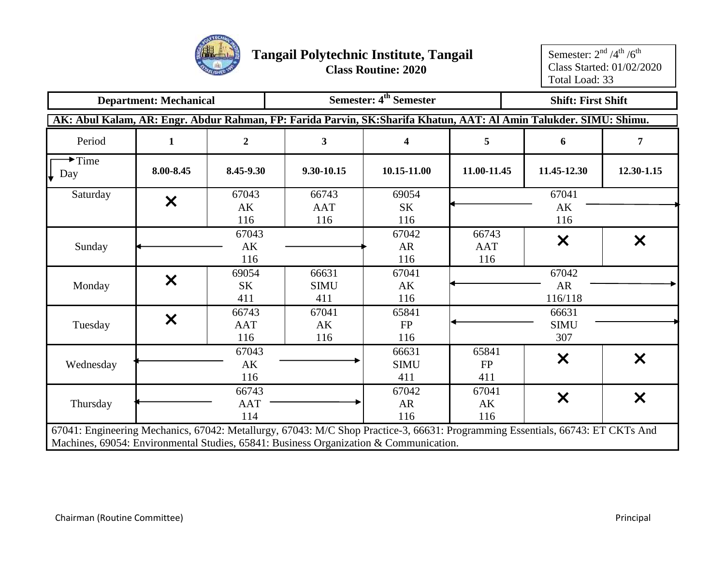

|                                                | <b>Department: Mechanical</b> |                |                                                                                                                                | Semester: 4 <sup>th</sup> Semester |             | <b>Shift: First Shift</b> |            |
|------------------------------------------------|-------------------------------|----------------|--------------------------------------------------------------------------------------------------------------------------------|------------------------------------|-------------|---------------------------|------------|
|                                                |                               |                | AK: Abul Kalam, AR: Engr. Abdur Rahman, FP: Farida Parvin, SK: Sharifa Khatun, AAT: Al Amin Talukder. SIMU: Shimu.             |                                    |             |                           |            |
| Period                                         | 1                             | $\overline{2}$ | 3 <sup>1</sup>                                                                                                                 | 4                                  | 5           | 6                         | 7          |
| $\blacktriangleright$ Time<br>$\downarrow$ Day | 8.00-8.45                     | 8.45-9.30      | 9.30-10.15                                                                                                                     | 10.15-11.00                        | 11.00-11.45 | 11.45-12.30               | 12.30-1.15 |
| Saturday                                       | $\boldsymbol{\mathsf{X}}$     | 67043          | 66743                                                                                                                          | 69054                              |             | 67041                     |            |
|                                                |                               | AK             | <b>AAT</b>                                                                                                                     | SK                                 |             | AK                        |            |
|                                                |                               | 116            | 116                                                                                                                            | 116                                |             | 116                       |            |
|                                                |                               | 67043          |                                                                                                                                | 67042                              | 66743       |                           |            |
| Sunday                                         |                               | AK             |                                                                                                                                | <b>AR</b>                          | <b>AAT</b>  | $\boldsymbol{\mathsf{X}}$ | X          |
|                                                |                               | 116            |                                                                                                                                | 116                                | 116         |                           |            |
|                                                |                               | 69054          | 66631                                                                                                                          | 67041                              |             | 67042                     |            |
| Monday                                         | $\bm{\times}$                 | <b>SK</b>      | <b>SIMU</b>                                                                                                                    | AK                                 |             | AR                        |            |
|                                                |                               | 411            | 411                                                                                                                            | 116                                |             | 116/118                   |            |
|                                                |                               | 66743          | 67041                                                                                                                          | 65841                              |             | 66631                     |            |
| Tuesday                                        | $\boldsymbol{\mathsf{X}}$     | <b>AAT</b>     | AK                                                                                                                             | FP                                 |             | <b>SIMU</b>               |            |
|                                                |                               | 116            | 116                                                                                                                            | 116                                |             | 307                       |            |
|                                                |                               | 67043          |                                                                                                                                | 66631                              | 65841       |                           |            |
| Wednesday                                      |                               | AK             |                                                                                                                                | <b>SIMU</b>                        | <b>FP</b>   | $\boldsymbol{\mathsf{X}}$ | X          |
|                                                |                               | 116            |                                                                                                                                | 411                                | 411         |                           |            |
|                                                |                               | 66743          |                                                                                                                                | 67042                              | 67041       |                           |            |
| Thursday                                       |                               | <b>AAT</b>     |                                                                                                                                | <b>AR</b>                          | AK          | $\boldsymbol{\mathsf{X}}$ | X          |
|                                                |                               | 114            |                                                                                                                                | 116                                | 116         |                           |            |
|                                                |                               |                | 67041: Engineering Mechanics, 67042: Metallurgy, 67043: M/C Shop Practice-3, 66631: Programming Essentials, 66743: ET CKTs And |                                    |             |                           |            |
|                                                |                               |                | Machines, 69054: Environmental Studies, 65841: Business Organization & Communication.                                          |                                    |             |                           |            |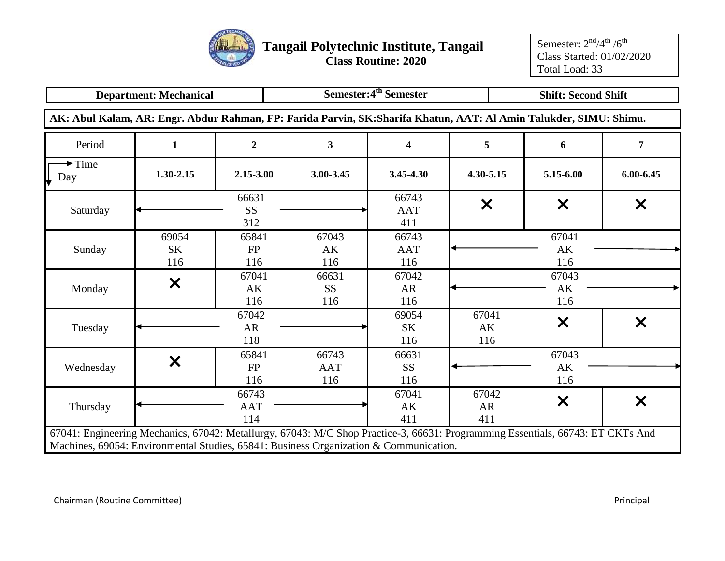

|                                                                                                                                                                                                                         | <b>Department: Mechanical</b> |                            |                            | Semester:4 <sup>th</sup> Semester                             |                    |                    | <b>Shift: Second Shift</b>             |                           |  |  |
|-------------------------------------------------------------------------------------------------------------------------------------------------------------------------------------------------------------------------|-------------------------------|----------------------------|----------------------------|---------------------------------------------------------------|--------------------|--------------------|----------------------------------------|---------------------------|--|--|
| AK: Abul Kalam, AR: Engr. Abdur Rahman, FP: Farida Parvin, SK: Sharifa Khatun, AAT: Al Amin Talukder, SIMU: Shimu.                                                                                                      |                               |                            |                            |                                                               |                    |                    |                                        |                           |  |  |
| Period                                                                                                                                                                                                                  | 1                             | $\boldsymbol{2}$           | $\mathbf{3}$               | 4                                                             | 5                  |                    | 6                                      | 7                         |  |  |
| $\blacktriangleright$ Time<br>Day                                                                                                                                                                                       | $1.30 - 2.15$                 | $2.15 - 3.00$              | 3.00-3.45                  | 3.45-4.30                                                     | 4.30-5.15          |                    | 5.15-6.00                              | $6.00 - 6.45$             |  |  |
| Saturday                                                                                                                                                                                                                |                               | 66631<br><b>SS</b><br>312  |                            | 66743<br><b>AAT</b><br>411                                    | X                  |                    | X                                      | $\boldsymbol{\mathsf{X}}$ |  |  |
| Sunday                                                                                                                                                                                                                  | 69054<br><b>SK</b><br>116     | 65841<br><b>FP</b><br>116  | 67043<br>AK<br>116         | 66743<br><b>AAT</b><br>116                                    |                    |                    | 67041<br>$\mathbf{A}\mathbf{K}$<br>116 |                           |  |  |
| Monday                                                                                                                                                                                                                  | $\boldsymbol{\mathsf{X}}$     | 67041<br>AK<br>116         | 66631<br><b>SS</b><br>116  | 67042<br><b>AR</b><br>116                                     |                    | 67043<br>AK<br>116 |                                        |                           |  |  |
| Tuesday                                                                                                                                                                                                                 |                               | 67042<br>AR<br>118         |                            | 69054<br><b>SK</b><br>116                                     | 67041<br>AK<br>116 |                    | $\boldsymbol{\mathsf{X}}$              | $\boldsymbol{\mathsf{x}}$ |  |  |
| Wednesday                                                                                                                                                                                                               | $\bm{x}$                      | 65841<br><b>FP</b><br>116  | 66743<br><b>AAT</b><br>116 | 66631<br><b>SS</b><br>116                                     |                    |                    | 67043<br>AK<br>116                     |                           |  |  |
| Thursday                                                                                                                                                                                                                |                               | 66743<br><b>AAT</b><br>114 |                            | 67042<br>67041<br>$\bm{\mathsf{x}}$<br>AK<br>AR<br>411<br>411 |                    |                    |                                        |                           |  |  |
| 67041: Engineering Mechanics, 67042: Metallurgy, 67043: M/C Shop Practice-3, 66631: Programming Essentials, 66743: ET CKTs And<br>Machines, 69054: Environmental Studies, 65841: Business Organization & Communication. |                               |                            |                            |                                                               |                    |                    |                                        |                           |  |  |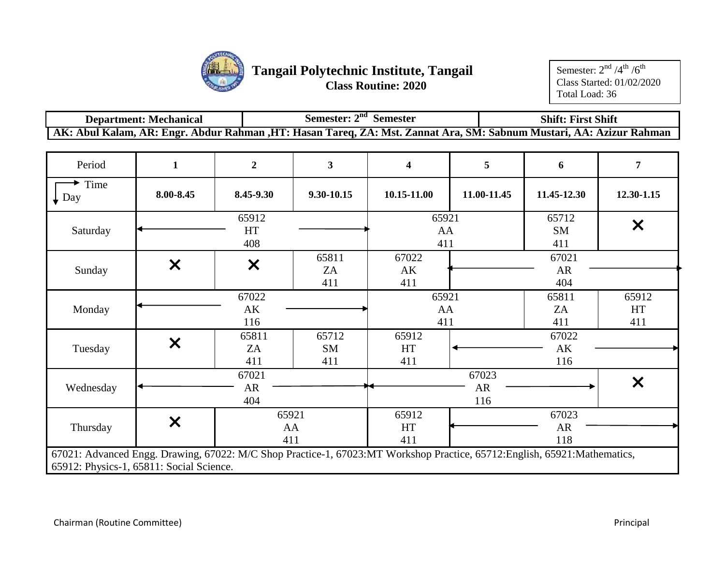

| <b>Department: Mechanical</b> | Semester: $2nd$ Semester                                                                                            | <b>Shift: First Shift</b> |
|-------------------------------|---------------------------------------------------------------------------------------------------------------------|---------------------------|
|                               | AK: Abul Kalam, AR: Engr. Abdur Rahman ,HT: Hasan Tareq, ZA: Mst. Zannat Ara, SM: Sabnum Mustari, AA: Azizur Rahman |                           |

| Period                                                                                                                                                                 | $\mathbf{1}$              | $\overline{2}$            | $\overline{\mathbf{3}}$   | $\overline{\mathbf{4}}$ | 5                  | 6                  | $\overline{7}$            |
|------------------------------------------------------------------------------------------------------------------------------------------------------------------------|---------------------------|---------------------------|---------------------------|-------------------------|--------------------|--------------------|---------------------------|
| Time<br>$\downarrow$ Day                                                                                                                                               | 8.00-8.45                 | 8.45-9.30                 | 9.30-10.15                | 10.15-11.00             | 11.00-11.45        | 11.45-12.30        | 12.30-1.15                |
| Saturday                                                                                                                                                               |                           | 65912<br>HT<br>408        |                           | 65921<br>AA<br>411      |                    | 65712<br>SM<br>411 | $\boldsymbol{\mathsf{x}}$ |
| Sunday                                                                                                                                                                 | $\boldsymbol{\mathsf{X}}$ | $\boldsymbol{\mathsf{x}}$ | 65811<br>ZA<br>411        | 67022<br>AK<br>411      |                    | 67021<br>AR<br>404 |                           |
| Monday                                                                                                                                                                 |                           | 67022<br>AK<br>116        |                           | 65921<br>AA<br>411      |                    | 65811<br>ZA<br>411 | 65912<br>HT<br>411        |
| Tuesday                                                                                                                                                                | $\boldsymbol{\mathsf{X}}$ | 65811<br>ZA<br>411        | 65712<br><b>SM</b><br>411 | 65912<br>HT<br>411      |                    | 67022<br>AK<br>116 |                           |
| Wednesday                                                                                                                                                              |                           | 67021<br>AR<br>404        |                           |                         | 67023<br>AR<br>116 |                    | $\bm{\times}$             |
| Thursday                                                                                                                                                               | $\boldsymbol{\mathsf{X}}$ | 65921<br>AA<br>411        |                           | 65912<br>HT<br>411      |                    | 67023<br>AR<br>118 |                           |
| 67021: Advanced Engg. Drawing, 67022: M/C Shop Practice-1, 67023:MT Workshop Practice, 65712: English, 65921: Mathematics,<br>65912: Physics-1, 65811: Social Science. |                           |                           |                           |                         |                    |                    |                           |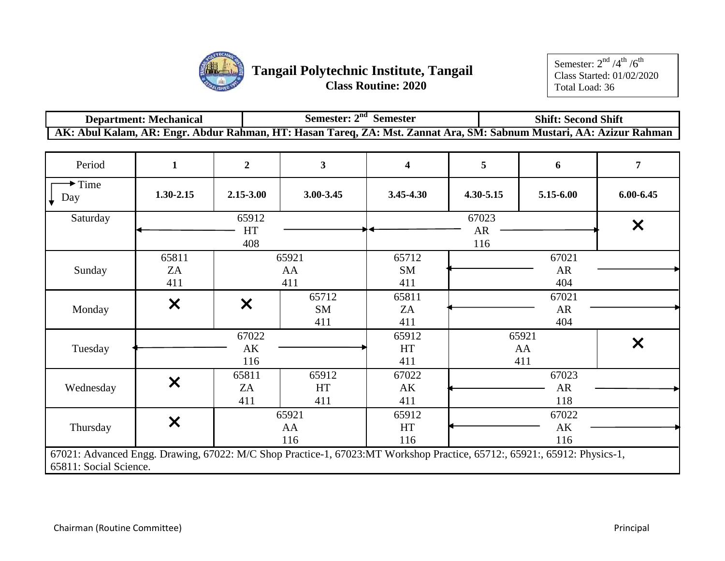

| <b>Department: Mechanical</b> | Semester: $2nd$<br><b>Semester</b>                                                                                  | <b>Shift: Second Shift</b> |
|-------------------------------|---------------------------------------------------------------------------------------------------------------------|----------------------------|
|                               | AK: Abul Kalam, AR: Engr. Abdur Rahman, HT: Hasan Tareq, ZA: Mst. Zannat Ara, SM: Sabnum Mustari, AA: Azizur Rahman |                            |

| Period                                                                                                                                             | $\mathbf{1}$      | $\overline{2}$            | $\overline{\mathbf{3}}$   | $\overline{\mathbf{4}}$ | 5         | 6                  | $\overline{7}$ |
|----------------------------------------------------------------------------------------------------------------------------------------------------|-------------------|---------------------------|---------------------------|-------------------------|-----------|--------------------|----------------|
| $\blacktriangleright$ Time<br>$\downarrow$ Day                                                                                                     | $1.30 - 2.15$     | 2.15-3.00                 | 3.00-3.45                 | 3.45-4.30               | 4.30-5.15 | 5.15-6.00          | $6.00 - 6.45$  |
| Saturday                                                                                                                                           |                   | 65912                     |                           |                         | 67023     |                    | $\bm{\times}$  |
|                                                                                                                                                    |                   | HT<br>408                 |                           |                         | AR<br>116 |                    |                |
|                                                                                                                                                    | 65811             |                           | 65921                     | 65712                   |           | 67021              |                |
| Sunday                                                                                                                                             | ZA<br>411         |                           | AA<br>411                 | SM<br>411               |           | AR<br>404          |                |
| Monday                                                                                                                                             | $\bm{\times}$     | $\boldsymbol{\mathsf{X}}$ | 65712<br><b>SM</b>        | 65811<br>ZA             |           | 67021<br>AR        |                |
|                                                                                                                                                    |                   |                           | 411                       | 411                     |           | 404                |                |
| Tuesday                                                                                                                                            |                   | 67022<br>AK<br>116        |                           | 65912<br>HT<br>411      |           | 65921<br>AA<br>411 | X              |
| Wednesday                                                                                                                                          | $\bm{x}$          | 65811<br>ZA<br>411        | 65912<br><b>HT</b><br>411 | 67022<br>AK<br>411      |           | 67023<br>AR<br>118 |                |
| Thursday                                                                                                                                           | $\bm{\mathsf{x}}$ |                           | 65921<br>AA<br>116        | 65912<br>HT<br>116      |           | 67022<br>AK<br>116 |                |
| 67021: Advanced Engg. Drawing, 67022: M/C Shop Practice-1, 67023:MT Workshop Practice, 65712:, 65921:, 65912: Physics-1,<br>65811: Social Science. |                   |                           |                           |                         |           |                    |                |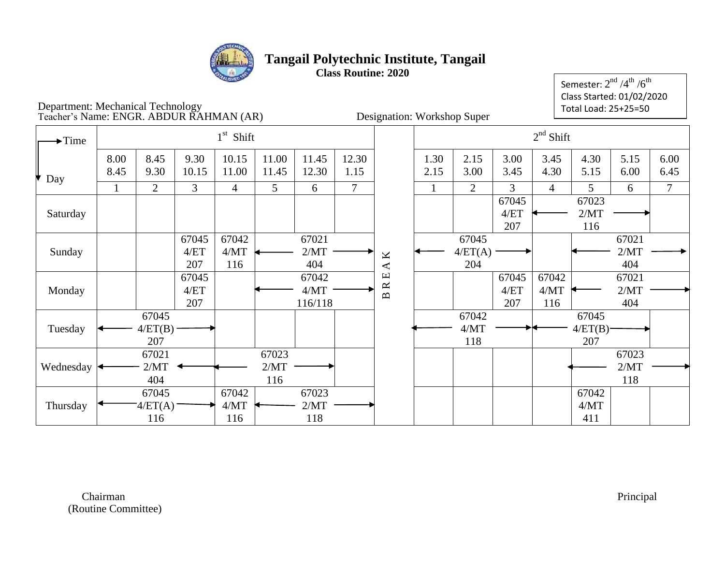

Semester:  $2^{\rm nd}$  /4 $^{\rm th}$  /6 $^{\rm th}$ Class Started: 01/02/2020 Total Load: 25+25=50

### Department: Mechanical Technology Teacher's Name: ENGR. ABDUR RAHMAN (AR) Designation: Workshop Super

| $\blacktriangleright$ Time |              |                         |                      | $1st$ Shift          |                      |                          |                |                                            |              |                         |                      | $2nd$ Shift          |                             |                      |                |
|----------------------------|--------------|-------------------------|----------------------|----------------------|----------------------|--------------------------|----------------|--------------------------------------------|--------------|-------------------------|----------------------|----------------------|-----------------------------|----------------------|----------------|
| Day                        | 8.00<br>8.45 | 8.45<br>9.30            | 9.30<br>10.15        | 10.15<br>11.00       | 11.00<br>11.45       | 11.45<br>12.30           | 12.30<br>1.15  |                                            | 1.30<br>2.15 | 2.15<br>3.00            | 3.00<br>3.45         | 3.45<br>4.30         | 4.30<br>5.15                | 5.15<br>6.00         | 6.00<br>6.45   |
|                            |              | $\overline{2}$          | 3                    | $\overline{4}$       | 5                    | 6                        | $\overline{7}$ |                                            | $\mathbf{1}$ | $\overline{2}$          | 3                    | $\overline{4}$       | 5                           | 6                    | $\overline{7}$ |
| Saturday                   |              |                         |                      |                      |                      |                          |                |                                            |              |                         | 67045<br>4/ET<br>207 |                      | 67023<br>2/MT<br>116        |                      |                |
| Sunday                     |              |                         | 67045<br>4/ET<br>207 | 67042<br>4/MT<br>116 |                      | 67021<br>2/MT<br>404     |                | K<br>$\blacktriangleleft$                  |              | 67045<br>4/ET(A)<br>204 |                      |                      |                             | 67021<br>2/MT<br>404 |                |
| Monday                     |              |                         | 67045<br>4/ET<br>207 |                      |                      | 67042<br>4/MT<br>116/118 |                | $\mathbf \Xi$<br>$\approx$<br>$\mathbf{p}$ |              |                         | 67045<br>4/ET<br>207 | 67042<br>4/MT<br>116 |                             | 67021<br>2/MT<br>404 |                |
| Tuesday                    |              | 67045<br>4/ET(B)<br>207 |                      |                      |                      |                          |                |                                            |              | 67042<br>4/MT<br>118    |                      |                      | 67045<br>$4/ET(B)$ -<br>207 |                      |                |
| Wednesday                  |              | 67021<br>2/MT<br>404    |                      |                      | 67023<br>2/MT<br>116 |                          |                |                                            |              |                         |                      |                      |                             | 67023<br>2/MT<br>118 |                |
| Thursday                   |              | 67045<br>4/ET(A)<br>116 |                      | 67042<br>4/MT<br>116 |                      | 67023<br>2/MT<br>118     |                |                                            |              |                         |                      |                      | 67042<br>4/MT<br>411        |                      |                |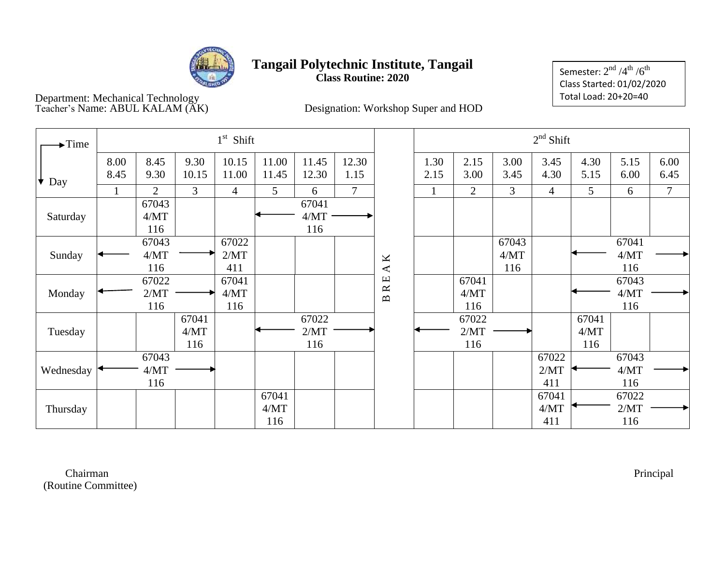

Semester:  $2^{\rm nd}$  /4 $^{\rm th}$  /6 $^{\rm th}$ Class Started: 01/02/2020 Total Load: 20+20=40

Department: Mechanical Technology

Teacher's Name: ABUL KALAM (AK) Designation: Workshop Super and HOD

| $\rightarrow$ Time |              |                      |                      | $1st$ Shift          |                      |                      |               |                                                                         |              |                      |                      | $2nd$ Shift          |                      |                      |                |
|--------------------|--------------|----------------------|----------------------|----------------------|----------------------|----------------------|---------------|-------------------------------------------------------------------------|--------------|----------------------|----------------------|----------------------|----------------------|----------------------|----------------|
| Day                | 8.00<br>8.45 | 8.45<br>9.30         | 9.30<br>10.15        | 10.15<br>11.00       | 11.00<br>11.45       | 11.45<br>12.30       | 12.30<br>1.15 |                                                                         | 1.30<br>2.15 | 2.15<br>3.00         | 3.00<br>3.45         | 3.45<br>4.30         | 4.30<br>5.15         | 5.15<br>6.00         | 6.00<br>6.45   |
|                    |              | 2                    | 3                    | 4                    | 5                    | 6                    | $\tau$        |                                                                         | 1            | $\overline{2}$       | 3                    | 4                    | 5                    | 6                    | $\overline{7}$ |
| Saturday           |              | 67043<br>4/MT<br>116 |                      |                      |                      | 67041<br>4/MT<br>116 |               |                                                                         |              |                      |                      |                      |                      |                      |                |
| Sunday             |              | 67043<br>4/MT<br>116 |                      | 67022<br>2/MT<br>411 |                      |                      |               | $\pmb{\times}$<br>$\blacktriangleleft$                                  |              |                      | 67043<br>4/MT<br>116 |                      |                      | 67041<br>4/MT<br>116 |                |
| Monday             |              | 67022<br>2/MT<br>116 |                      | 67041<br>4/MT<br>116 |                      |                      |               | $\mathbf \Xi$<br>$\approx$<br>$\mathbf{\underline{\underline{\alpha}}}$ |              | 67041<br>4/MT<br>116 |                      |                      |                      | 67043<br>4/MT<br>116 |                |
| Tuesday            |              |                      | 67041<br>4/MT<br>116 |                      |                      | 67022<br>2/MT<br>116 |               |                                                                         |              | 67022<br>2/MT<br>116 |                      |                      | 67041<br>4/MT<br>116 |                      |                |
| Wednesday          |              | 67043<br>4/MT<br>116 |                      |                      |                      |                      |               |                                                                         |              |                      |                      | 67022<br>2/MT<br>411 |                      | 67043<br>4/MT<br>116 |                |
| Thursday           |              |                      |                      |                      | 67041<br>4/MT<br>116 |                      |               |                                                                         |              |                      |                      | 67041<br>4/MT<br>411 |                      | 67022<br>2/MT<br>116 |                |

 Chairman Principal (Routine Committee)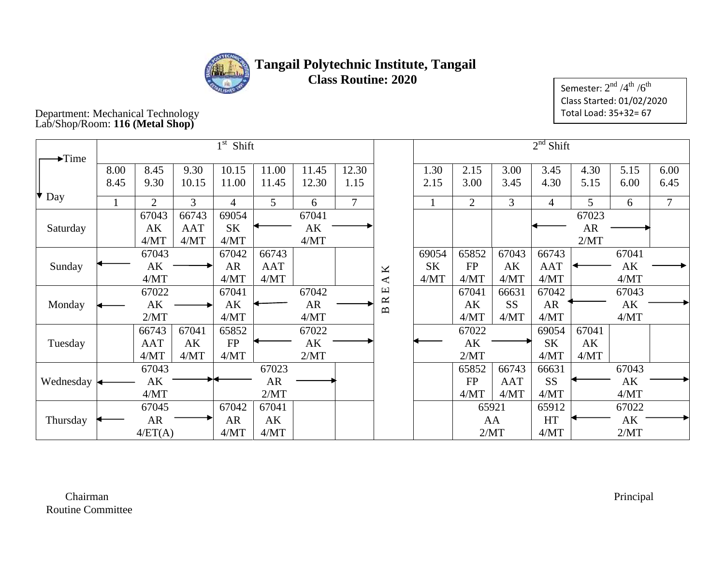

Semester:  $2^{\rm nd}$  /4 $^{\rm th}$  / $6^{\rm th}$ Class Started: 01/02/2020 Total Load: 35+32= 67

#### Department: Mechanical Technology Lab/Shop/Room: **116 (Metal Shop)**

|                            |      |            |            | $1st$ Shift |       |       |        |                           |       |                |            | $2nd$ Shift |           |       |                |
|----------------------------|------|------------|------------|-------------|-------|-------|--------|---------------------------|-------|----------------|------------|-------------|-----------|-------|----------------|
| $\blacktriangleright$ Time |      |            |            |             |       |       |        |                           |       |                |            |             |           |       |                |
|                            | 8.00 | 8.45       | 9.30       | 10.15       | 11.00 | 11.45 | 12.30  |                           | 1.30  | 2.15           | 3.00       | 3.45        | 4.30      | 5.15  | 6.00           |
|                            | 8.45 | 9.30       | 10.15      | 11.00       | 11.45 | 12.30 | 1.15   |                           | 2.15  | 3.00           | 3.45       | 4.30        | 5.15      | 6.00  | 6.45           |
| $\bullet$ Day              |      | 2          | 3          | 4           | 5     | 6     | $\tau$ |                           |       | $\overline{2}$ | 3          | 4           | 5         | 6     | $\overline{7}$ |
|                            |      | 67043      | 66743      | 69054       |       | 67041 |        |                           |       |                |            |             | 67023     |       |                |
| Saturday                   |      | AK         | <b>AAT</b> | <b>SK</b>   |       | AK    |        |                           |       |                |            |             | <b>AR</b> |       |                |
|                            |      | 4/MT       | 4/MT       | 4/MT        |       | 4/MT  |        |                           |       |                |            |             | 2/MT      |       |                |
|                            |      | 67043      |            | 67042       | 66743 |       |        |                           | 69054 | 65852          | 67043      | 66743       |           | 67041 |                |
| Sunday                     |      | AK         |            | <b>AR</b>   | AAT   |       |        | $\pmb{\times}$            | SK    | FP             | AK         | AAT         |           | AK    |                |
|                            |      | 4/MT       |            | 4/MT        | 4/MT  |       |        | $\blacktriangleleft$      | 4/MT  | 4/MT           | 4/MT       | 4/MT        |           | 4/MT  |                |
|                            |      | 67022      |            | 67041       |       | 67042 |        | $\mathbf \Xi$             |       | 67041          | 66631      | 67042       |           | 67043 |                |
| Monday                     |      | AK         |            | AK          |       | AR    |        | $\approx$<br>$\mathbf{D}$ |       | AK             | <b>SS</b>  | <b>AR</b>   |           | AK    |                |
|                            |      | 2/MT       |            | 4/MT        |       | 4/MT  |        |                           |       | 4/MT           | 4/MT       | 4/MT        |           | 4/MT  |                |
|                            |      | 66743      | 67041      | 65852       |       | 67022 |        |                           |       | 67022          |            | 69054       | 67041     |       |                |
| Tuesday                    |      | <b>AAT</b> | AK         | FP          |       | AK    |        |                           |       | AK             |            | <b>SK</b>   | AK        |       |                |
|                            |      | 4/MT       | 4/MT       | 4/MT        |       | 2/MT  |        |                           |       | 2/MT           |            | 4/MT        | 4/MT      |       |                |
|                            |      | 67043      |            |             | 67023 |       |        |                           |       | 65852          | 66743      | 66631       |           | 67043 |                |
| Wednesday                  |      | AK         |            |             | AR    |       |        |                           |       | FP             | <b>AAT</b> | <b>SS</b>   |           | AK    |                |
|                            |      | 4/MT       |            |             | 2/MT  |       |        |                           |       | 4/MT           | 4/MT       | 4/MT        |           | 4/MT  |                |
|                            |      | 67045      |            | 67042       | 67041 |       |        |                           |       | 65921          |            | 65912       |           | 67022 |                |
| Thursday                   |      | AR         |            | AR          | AK    |       |        |                           |       | AA             |            | HT          |           | AK    |                |
|                            |      | 4/ET(A)    |            | 4/MT        | 4/MT  |       |        |                           |       | 2/MT           |            | 4/MT        |           | 2/MT  |                |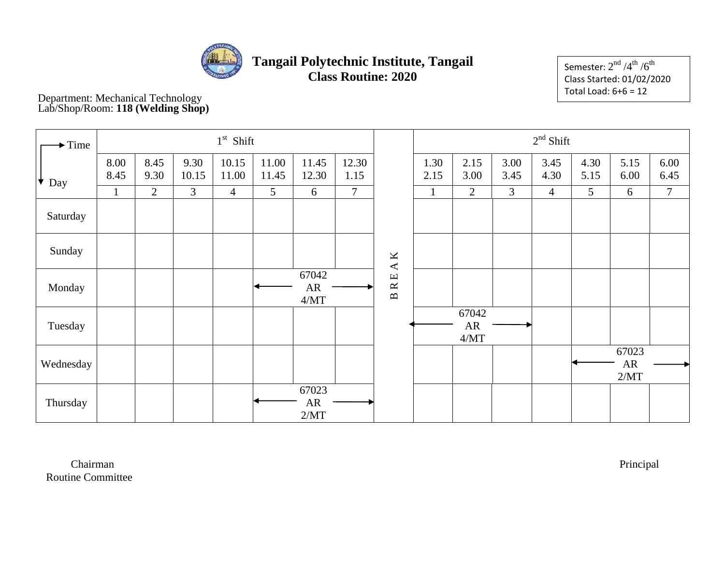

Semester:  $2^{\rm nd}$  /4 $^{\rm th}$  /6 $^{\rm th}$ Class Started: 01/02/2020 Total Load: 6+6 = 12

 Department: Mechanical Technology Lab/Shop/Room: **118 (Welding Shop)**

| $\blacktriangleright$ Time |              |              |                | $1st$ Shift    |                |                       |                |                                            |              |                     |              | $2nd$ Shift    |              |                             |              |
|----------------------------|--------------|--------------|----------------|----------------|----------------|-----------------------|----------------|--------------------------------------------|--------------|---------------------|--------------|----------------|--------------|-----------------------------|--------------|
| $\bullet$ Day              | 8.00<br>8.45 | 8.45<br>9.30 | 9.30<br>10.15  | 10.15<br>11.00 | 11.00<br>11.45 | 11.45<br>12.30        | 12.30<br>1.15  |                                            | 1.30<br>2.15 | 2.15<br>3.00        | 3.00<br>3.45 | 3.45<br>4.30   | 4.30<br>5.15 | 5.15<br>6.00                | 6.00<br>6.45 |
|                            | $\mathbf{1}$ | 2            | $\overline{3}$ | $\overline{4}$ | 5              | 6                     | $\overline{7}$ |                                            | 1            | $\overline{2}$      | 3            | $\overline{4}$ | 5            | 6                           | $\tau$       |
| Saturday                   |              |              |                |                |                |                       |                |                                            |              |                     |              |                |              |                             |              |
| Sunday                     |              |              |                |                |                |                       |                | K<br>$\blacktriangleleft$                  |              |                     |              |                |              |                             |              |
| Monday                     |              |              |                |                |                | 67042<br>AR<br>$4/MT$ |                | $\mathbf \Xi$<br>$\approx$<br>$\mathbf{B}$ |              |                     |              |                |              |                             |              |
| Tuesday                    |              |              |                |                |                |                       |                |                                            |              | 67042<br>AR<br>4/MT |              |                |              |                             |              |
| Wednesday                  |              |              |                |                |                |                       |                |                                            |              |                     |              |                |              | 67023<br>${\sf AR}$<br>2/MT |              |
| Thursday                   |              |              |                |                |                | 67023<br>AR<br>2/MT   |                |                                            |              |                     |              |                |              |                             |              |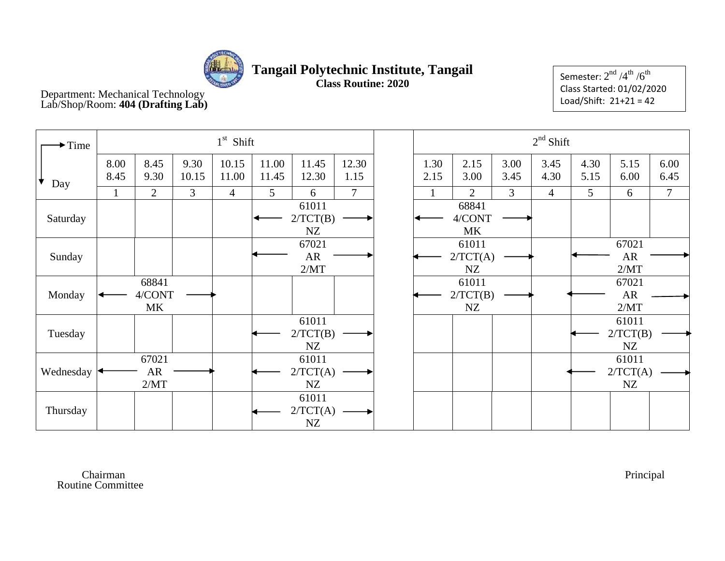

Semester:  $2^{\rm nd}$  / $4^{\rm th}$  / $6^{\rm th}$ Class Started: 01/02/2020 Load/Shift: 21+21 = 42

 Department: Mechanical Technology Lab/Shop/Room: **404 (Drafting Lab)**

| $\blacktriangleright$ Time |              |                       |               | $1st$ Shift    |                |                         |                |              |                              |              | $2nd$ Shift  |              |                            |              |
|----------------------------|--------------|-----------------------|---------------|----------------|----------------|-------------------------|----------------|--------------|------------------------------|--------------|--------------|--------------|----------------------------|--------------|
| Day                        | 8.00<br>8.45 | 8.45<br>9.30          | 9.30<br>10.15 | 10.15<br>11.00 | 11.00<br>11.45 | 11.45<br>12.30          | 12.30<br>1.15  | 1.30<br>2.15 | 2.15<br>3.00                 | 3.00<br>3.45 | 3.45<br>4.30 | 4.30<br>5.15 | 5.15<br>6.00               | 6.00<br>6.45 |
|                            |              | $\overline{2}$        | 3             | $\overline{4}$ | 5              | 6                       | $\overline{7}$ |              | $\overline{2}$               | 3            | 4            | 5            | 6                          | $\tau$       |
| Saturday                   |              |                       |               |                |                | 61011<br>2/TCT(B)<br>NZ |                |              | 68841<br>4/CONT<br><b>MK</b> |              |              |              |                            |              |
| Sunday                     |              |                       |               |                |                | 67021<br>AR<br>2/MT     |                |              | 61011<br>2/TCT(A)<br>NZ      |              |              |              | 67021<br>AR<br>2/MT        |              |
| Monday                     |              | 68841<br>4/CONT<br>MK |               |                |                |                         |                |              | 61011<br>2/TCT(B)<br>NZ      |              |              |              | 67021<br><b>AR</b><br>2/MT |              |
| Tuesday                    |              |                       |               |                |                | 61011<br>2/TCT(B)<br>NZ |                |              |                              |              |              |              | 61011<br>2/TCT(B)<br>NZ    |              |
| Wednesday                  |              | 67021<br>AR<br>2/MT   |               |                |                | 61011<br>2/TCT(A)<br>NZ |                |              |                              |              |              |              | 61011<br>2/TCT(A)<br>NZ    |              |
| Thursday                   |              |                       |               |                |                | 61011<br>2/TCT(A)<br>NZ |                |              |                              |              |              |              |                            |              |

 Chairman Principal Routine Committee